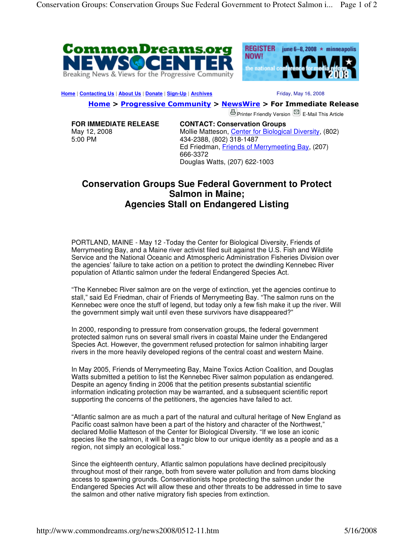



**Home | Contacting Us | About Us | Donate | Sign-Up | Archives | No. 2008** Friday, May 16, 2008

Home > Progressive Community > NewsWire > For Immediate Release

**B** Printer Friendly Version **S** E-Mail This Article

**FOR IMMEDIATE RELEASE** May 12, 2008 5:00 PM

**CONTACT: Conservation Groups**  Mollie Matteson, Center for Biological Diversity, (802) 434-2388, (802) 318-1487 Ed Friedman, Friends of Merrymeeting Bay, (207) 666-3372 Douglas Watts, (207) 622-1003

## **Conservation Groups Sue Federal Government to Protect Salmon in Maine; Agencies Stall on Endangered Listing**

PORTLAND, MAINE - May 12 -Today the Center for Biological Diversity, Friends of Merrymeeting Bay, and a Maine river activist filed suit against the U.S. Fish and Wildlife Service and the National Oceanic and Atmospheric Administration Fisheries Division over the agencies' failure to take action on a petition to protect the dwindling Kennebec River population of Atlantic salmon under the federal Endangered Species Act.

"The Kennebec River salmon are on the verge of extinction, yet the agencies continue to stall," said Ed Friedman, chair of Friends of Merrymeeting Bay. "The salmon runs on the Kennebec were once the stuff of legend, but today only a few fish make it up the river. Will the government simply wait until even these survivors have disappeared?"

In 2000, responding to pressure from conservation groups, the federal government protected salmon runs on several small rivers in coastal Maine under the Endangered Species Act. However, the government refused protection for salmon inhabiting larger rivers in the more heavily developed regions of the central coast and western Maine.

In May 2005, Friends of Merrymeeting Bay, Maine Toxics Action Coalition, and Douglas Watts submitted a petition to list the Kennebec River salmon population as endangered. Despite an agency finding in 2006 that the petition presents substantial scientific information indicating protection may be warranted, and a subsequent scientific report supporting the concerns of the petitioners, the agencies have failed to act.

"Atlantic salmon are as much a part of the natural and cultural heritage of New England as Pacific coast salmon have been a part of the history and character of the Northwest," declared Mollie Matteson of the Center for Biological Diversity. "If we lose an iconic species like the salmon, it will be a tragic blow to our unique identity as a people and as a region, not simply an ecological loss."

Since the eighteenth century, Atlantic salmon populations have declined precipitously throughout most of their range, both from severe water pollution and from dams blocking access to spawning grounds. Conservationists hope protecting the salmon under the Endangered Species Act will allow these and other threats to be addressed in time to save the salmon and other native migratory fish species from extinction.